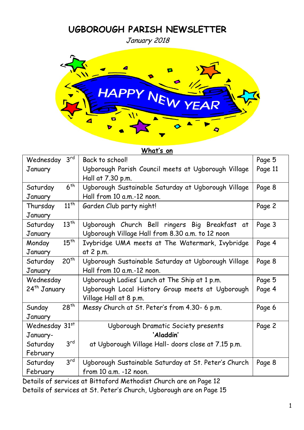# **UGBOROUGH PARISH NEWSLETTER**

January 2018



| $3^{\text{rd}}$<br>Wednesday          | Back to school!                                                | Page 5 |
|---------------------------------------|----------------------------------------------------------------|--------|
| January                               | Ugborough Parish Council meets at Ugborough Village<br>Page 11 |        |
| Hall at 7.30 p.m.                     |                                                                |        |
| 6 <sup>th</sup><br>Saturday           | Ugborough Sustainable Saturday at Ugborough Village            | Page 8 |
| January                               | Hall from 10 a.m.-12 noon.                                     |        |
| $11^{th}$<br>Thursday                 | Garden Club party night!                                       | Page 2 |
| January                               |                                                                |        |
| $13^{th}$<br>Saturday                 | Ugborough Church Bell ringers Big Breakfast at                 | Page 3 |
| January                               | Ugborough Village Hall from 8.30 a.m. to 12 noon               |        |
| $15^{th}$<br>Monday                   | Ivybridge UMA meets at The Watermark, Ivybridge                | Page 4 |
| January                               | at 2 p.m.                                                      |        |
| $20^{th}$<br>Saturday                 | Ugborough Sustainable Saturday at Ugborough Village            | Page 8 |
| Hall from 10 a.m.-12 noon.<br>January |                                                                |        |
| Wednesday                             | Ugborough Ladies' Lunch at The Ship at 1 p.m.                  | Page 5 |
| 24 <sup>th</sup> January              | Ugborough Local History Group meets at Ugborough               | Page 4 |
|                                       | Village Hall at 8 p.m.                                         |        |
| $28^{th}$<br>Sunday                   | Messy Church at St. Peter's from 4.30- 6 p.m.                  | Page 6 |
| January                               |                                                                |        |
| Wednesday 31st                        | Ugborough Dramatic Society presents                            | Page 2 |
| 'Aladdin'<br>January-                 |                                                                |        |
| $3^{\text{rd}}$<br>Saturday           | at Ugborough Village Hall- doors close at 7.15 p.m.            |        |
| February                              |                                                                |        |
| 3 <sup>rd</sup><br>Saturday           | Ugborough Sustainable Saturday at St. Peter's Church           | Page 8 |
| February                              | from 10 a.m. -12 noon.                                         |        |

Details of services at Bittaford Methodist Church are on Page 12 Details of services at St. Peter's Church, Ugborough are on Page 15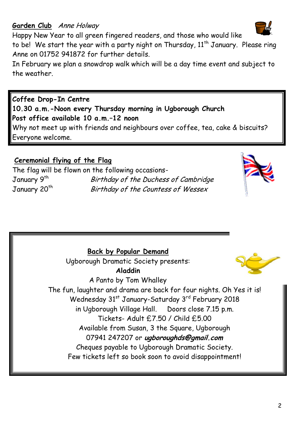#### **Garden Club** Anne Holway

Happy New Year to all green fingered readers, and those who would like

to be! We start the year with a party night on Thursday, 11<sup>th</sup> January. Please ring Anne on 01752 941872 for further details.

In February we plan a snowdrop walk which will be a day time event and subject to the weather.

**Coffee Drop-In Centre 10.30 a.m.-Noon every Thursday morning in Ugborough Church Post office available 10 a.m.–12 noon** Why not meet up with friends and neighbours over coffee, tea, cake & biscuits? Everyone welcome.

#### **Ceremonial flying of the Flag**

The flag will be flown on the following occasions-January 9<sup>th</sup> Birthday of the Duchess of Cambridge January 20<sup>th</sup> Birthday of the Countess of Wessex

**Back by Popular Demand** Ugborough Dramatic Society presents: **Aladdin** A Panto by Tom Whalley The fun, laughter and drama are back for four nights. Oh Yes it is! Wednesday 31<sup>st</sup> January-Saturday 3<sup>rd</sup> February 2018 in Ugborough Village Hall. Doors close 7.15 p.m. Tickets- Adult £7.50 / Child £5.00 Available from Susan, 3 the Square, Ugborough 07941 247207 or **ugboroughds@gmail.com** Cheques payable to Ugborough Dramatic Society. Few tickets left so book soon to avoid disappointment!





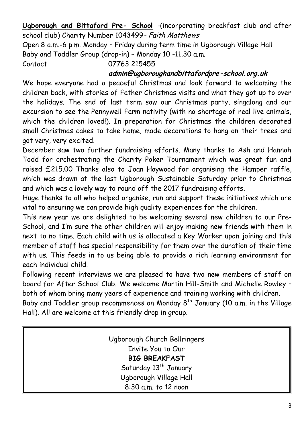**Ugborough and Bittaford Pre- School** -(incorporating breakfast club and after school club) Charity Number 1043499- Faith Matthews

Open 8 a.m.-6 p.m. Monday – Friday during term time in Ugborough Village Hall Baby and Toddler Group (drop-in) – Monday 10 -11.30 a.m.

Contact 07763 215455

#### **admin@ugboroughandbittafordpre-school.org.uk**

We hope everyone had a peaceful Christmas and look forward to welcoming the children back, with stories of Father Christmas visits and what they got up to over the holidays. The end of last term saw our Christmas party, singalong and our excursion to see the Pennywell Farm nativity (with no shortage of real live animals, which the children loved!). In preparation for Christmas the children decorated small Christmas cakes to take home, made decorations to hang on their trees and got very, very excited.

December saw two further fundraising efforts. Many thanks to Ash and Hannah Todd for orchestrating the Charity Poker Tournament which was great fun and raised £215.00 Thanks also to Joan Haywood for organising the Hamper raffle, which was drawn at the last Ugborough Sustainable Saturday prior to Christmas and which was a lovely way to round off the 2017 fundraising efforts.

Huge thanks to all who helped organise, run and support these initiatives which are vital to ensuring we can provide high quality experiences for the children.

This new year we are delighted to be welcoming several new children to our Pre-School, and I'm sure the other children will enjoy making new friends with them in next to no time. Each child with us is allocated a Key Worker upon joining and this member of staff has special responsibility for them over the duration of their time with us. This feeds in to us being able to provide a rich learning environment for each individual child.

Following recent interviews we are pleased to have two new members of staff on board for After School Club. We welcome Martin Hill-Smith and Michelle Rowley – both of whom bring many years of experience and training working with children.

Baby and Toddler group recommences on Monday  $8<sup>th</sup>$  January (10 a.m. in the Village Hall). All are welcome at this friendly drop in group.

> Ugborough Church Bellringers Invite You to Our **BIG BREAKFAST** Saturday 13<sup>th</sup> January Ugborough Village Hall 8:30 a.m. to 12 noon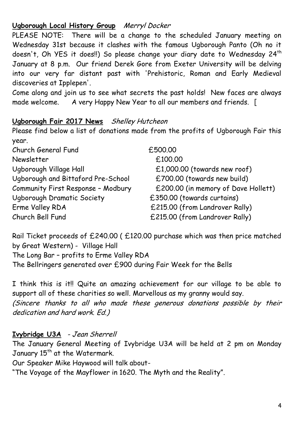### **Ugborough Local History Group** Merryl Docker

PLEASE NOTE: There will be a change to the scheduled January meeting on Wednesday 31st because it clashes with the famous Ugborough Panto (Oh no it doesn't, Oh YES it does!!) So please change your diary date to Wednesday 24<sup>th</sup> January at 8 p.m. Our friend Derek Gore from Exeter University will be delving into our very far distant past with 'Prehistoric, Roman and Early Medieval discoveries at Ipplepen'.

Come along and join us to see what secrets the past holds! New faces are always made welcome. A very Happy New Year to all our members and friends. [

### **Ugborough Fair 2017 News** Shelley Hutcheon

Please find below a list of donations made from the profits of Ugborough Fair this year.

Church General Fund £500.00 Newsletter  $f_{100.00}$ Ugborough Village Hall  $f(1,000.00)$  (towards new roof) Ugborough and Bittaford Pre-School  $E700.00$  (towards new build) Community First Response – Modbury £200.00 (in memory of Dave Hollett) Ugborough Dramatic Society £350.00 (towards curtains) Erme Valley RDA  $£215.00$  (from Landrover Rally) Church Bell Fund £215.00 (from Landrover Rally)

Rail Ticket proceeds of £240.00 ( £120.00 purchase which was then price matched by Great Western) - Village Hall The Long Bar – profits to Erme Valley RDA The Bellringers generated over £900 during Fair Week for the Bells

I think this is it!! Quite an amazing achievement for our village to be able to support all of these charities so well. Marvellous as my granny would say. (Sincere thanks to all who made these generous donations possible by their dedication and hard work. Ed.)

# **Ivybridge U3A** - Jean Sherrell

The January General Meeting of Ivybridge U3A will be held at 2 pm on Monday January 15<sup>th</sup> at the Watermark.

Our Speaker Mike Haywood will talk about-

"The Voyage of the Mayflower in 1620. The Myth and the Reality".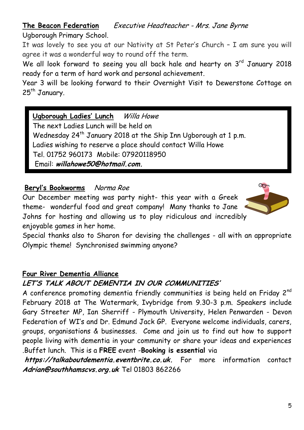# **The Beacon Federation** Executive Headteacher - Mrs. Jane Byrne

Ugborough Primary School.

It was lovely to see you at our Nativity at St Peter's Church – I am sure you will agree it was a wonderful way to round off the term.

We all look forward to seeing you all back hale and hearty on  $3^{rd}$  January 2018 ready for a term of hard work and personal achievement.

Year 3 will be looking forward to their Overnight Visit to Dewerstone Cottage on 25<sup>th</sup> January.

# **Ugborough Ladies' Lunch** Willa Howe

The next Ladies Lunch will be held on Wednesday 24<sup>th</sup> January 2018 at the Ship Inn Ugborough at 1 p.m. Ladies wishing to reserve a place should contact Willa Howe Tel. 01752 960173 Mobile: 07920118950 Email: **willahowe50@hotmail.com.**

# **Beryl's Bookworms** Norma Roe

Our December meeting was party night- this year with a Greek theme- wonderful food and great company! Many thanks to Jane Johns for hosting and allowing us to play ridiculous and incredibly enjoyable games in her home.



Special thanks also to Sharon for devising the challenges - all with an appropriate Olympic theme! Synchronised swimming anyone?

### **Four River Dementia Alliance**

# **LET'S TALK ABOUT DEMENTIA IN OUR COMMUNITIES'**

A conference promoting dementia friendly communities is being held on Friday  $2^{nd}$ February 2018 at The Watermark, Ivybridge from 9.30-3 p.m. Speakers include Gary Streeter MP, Ian Sherriff - Plymouth University, Helen Penwarden - Devon Federation of WI's and Dr. Edmund Jack GP. Everyone welcome individuals, carers, groups, organisations & businesses. Come and join us to find out how to support people living with dementia in your community or share your ideas and experiences .Buffet lunch. This is a **FREE** event -**Booking is essential** via

**https://talkaboutdementia.eventbrite.co.uk.** For more information contact **Adrian@southhamscvs.org.uk** Tel 01803 862266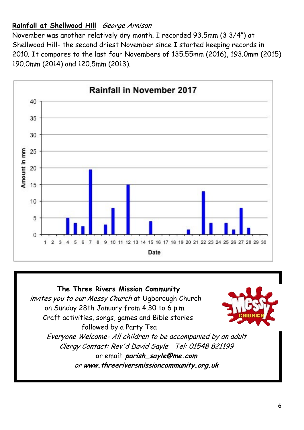# **Rainfall at Shellwood Hill** George Arnison

November was another relatively dry month. I recorded 93.5mm (3 3/4") at Shellwood Hill- the second driest November since I started keeping records in 2010. It compares to the last four Novembers of 135.55mm (2016), 193.0mm (2015) 190.0mm (2014) and 120.5mm (2013).



#### **The Three Rivers Mission Community** invites you to our Messy Church at Ugborough Church on Sunday 28th January from 4.30 to 6 p.m. Craft activities, songs, games and Bible stories



followed by a Party Tea Everyone Welcome- All children to be accompanied by an adult Clergy Contact: Rev'd David Sayle Tel: 01548 821199 or email: **parish\_sayle@me.com** or **www.threeriversmissioncommunity.org.uk**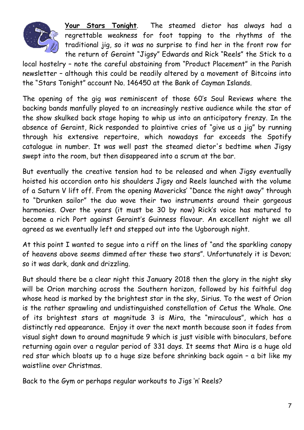

**Your Stars Tonight**. The steamed dietor has always had a regrettable weakness for foot tapping to the rhythms of the traditional jig, so it was no surprise to find her in the front row for the return of Geraint "Jigsy" Edwards and Rick "Reels" the Stick to a

local hostelry – note the careful abstaining from "Product Placement" in the Parish newsletter – although this could be readily altered by a movement of Bitcoins into the "Stars Tonight" account No. 146450 at the Bank of Cayman Islands.

The opening of the gig was reminiscent of those 60's Soul Reviews where the backing bands manfully played to an increasingly restive audience while the star of the show skulked back stage hoping to whip us into an anticipatory frenzy. In the absence of Geraint, Rick responded to plaintive cries of "give us a jig" by running through his extensive repertoire, which nowadays far exceeds the Spotify catalogue in number. It was well past the steamed dietor's bedtime when Jigsy swept into the room, but then disappeared into a scrum at the bar.

But eventually the creative tension had to be released and when Jigsy eventually hoisted his accordion onto his shoulders Jigsy and Reels launched with the volume of a Saturn V lift off. From the opening Mavericks' "Dance the night away" through to "Drunken sailor" the duo wove their two instruments around their gorgeous harmonies. Over the years (it must be 30 by now) Rick's voice has matured to become a rich Port against Geraint's Guinness flavour. An excellent night we all agreed as we eventually left and stepped out into the Ugborough night.

At this point I wanted to segue into a riff on the lines of "and the sparkling canopy of heavens above seems dimmed after these two stars". Unfortunately it is Devon; so it was dark, dank and drizzling.

But should there be a clear night this January 2018 then the glory in the night sky will be Orion marching across the Southern horizon, followed by his faithful dog whose head is marked by the brightest star in the sky, Sirius. To the west of Orion is the rather sprawling and undistinguished constellation of Cetus the Whale. One of its brightest stars at magnitude 3 is Mira, the "miraculous", which has a distinctly red appearance. Enjoy it over the next month because soon it fades from visual sight down to around magnitude 9 which is just visible with binoculars, before returning again over a regular period of 331 days. It seems that Mira is a huge old red star which bloats up to a huge size before shrinking back again – a bit like my waistline over Christmas.

Back to the Gym or perhaps regular workouts to Jigs 'n' Reels?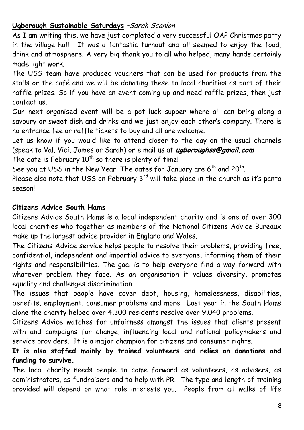### Ugborough Sustainable Saturdays -Sarah Scanlon

As I am writing this, we have just completed a very successful OAP Christmas party in the village hall. It was a fantastic turnout and all seemed to enjoy the food, drink and atmosphere. A very big thank you to all who helped, many hands certainly made light work.

The USS team have produced vouchers that can be used for products from the stalls or the café and we will be donating these to local charities as part of their raffle prizes. So if you have an event coming up and need raffle prizes, then just contact us.

Our next organised event will be a pot luck supper where all can bring along a savoury or sweet dish and drinks and we just enjoy each other's company. There is no entrance fee or raffle tickets to buy and all are welcome.

Let us know if you would like to attend closer to the day on the usual channels (speak to Val, Vici, James or Sarah) or e mail us at **ugboroughss@gmail.com**

The date is February  $10^{th}$  so there is plenty of time!

See you at USS in the New Year. The dates for January are  $6^{\text{th}}$  and 20 $^{\text{th}}$ .

Please also note that USS on February  $3<sup>rd</sup>$  will take place in the church as it's panto season!

#### **Citizens Advice South Hams**

Citizens Advice South Hams is a local independent charity and is one of over 300 local charities who together as members of the National Citizens Advice Bureaux make up the largest advice provider in England and Wales.

The Citizens Advice service helps people to resolve their problems, providing free, confidential, independent and impartial advice to everyone, informing them of their rights and responsibilities. The goal is to help everyone find a way forward with whatever problem they face. As an organisation it values diversity, promotes equality and challenges discrimination.

The issues that people have cover debt, housing, homelessness, disabilities, benefits, employment, consumer problems and more. Last year in the South Hams alone the charity helped over 4,300 residents resolve over 9,040 problems.

Citizens Advice watches for unfairness amongst the issues that clients present with and campaigns for change, influencing local and national policymakers and service providers. It is a major champion for citizens and consumer rights.

### **It is also staffed mainly by trained volunteers and relies on donations and funding to survive.**

The local charity needs people to come forward as volunteers, as advisers, as administrators, as fundraisers and to help with PR. The type and length of training provided will depend on what role interests you. People from all walks of life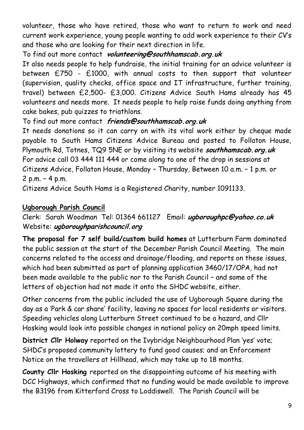volunteer, those who have retired, those who want to return to work and need current work experience, young people wanting to add work experience to their CV's and those who are looking for their next direction in life.

### To find out more contact **volunteering@southhamscab.org.uk**

It also needs people to help fundraise, the initial training for an advice volunteer is between £750 - £1000, with annual costs to then support that volunteer (supervision, quality checks, office space and IT infrastructure, further training, travel) between £2,500- £3,000. Citizens Advice South Hams already has 45 volunteers and needs more. It needs people to help raise funds doing anything from cake bakes, pub quizzes to triathlons.

# To find out more contact **friends@southhamscab.org.uk**

It needs donations so it can carry on with its vital work either by cheque made payable to South Hams Citizens Advice Bureau and posted to Follaton House, Plymouth Rd, Totnes, TQ9 5NE or by visiting its website **southhamscab.org.uk** For advice call 03 444 111 444 or come along to one of the drop in sessions at Citizens Advice, Follaton House, Monday – Thursday, Between 10 a.m. – 1 p.m. or 2 p.m. – 4 p.m.

Citizens Advice South Hams is a Registered Charity, number 1091133.

# **Ugborough Parish Council**

Clerk: Sarah Woodman Tel: 01364 661127 Email: **ugboroughpc@yahoo.co.uk** Website: **ugboroughparishcouncil.org**

**The proposal for 7 self build/custom build homes** at Lutterburn Farm dominated the public session at the start of the December Parish Council Meeting. The main concerns related to the access and drainage/flooding, and reports on these issues, which had been submitted as part of planning application 3460/17/OPA, had not been made available to the public nor to the Parish Council – and some of the letters of objection had not made it onto the SHDC website, either.

Other concerns from the public included the use of Ugborough Square during the day as a 'Park & car share' facility, leaving no spaces for local residents or visitors. Speeding vehicles along Lutterburn Street continued to be a hazard, and Cllr Hosking would look into possible changes in national policy on 20mph speed limits.

**District Cllr Holway** reported on the Ivybridge Neighbourhood Plan 'yes' vote; SHDC's proposed community lottery to fund good causes; and an Enforcement Notice on the travellers at Hillhead, which may take up to 18 months.

**County Cllr Hosking** reported on the disappointing outcome of his meeting with DCC Highways, which confirmed that no funding would be made available to improve the B3196 from Kitterford Cross to Loddiswell. The Parish Council will be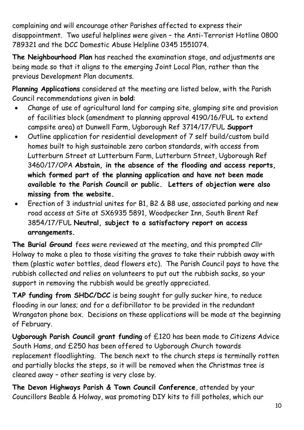complaining and will encourage other Parishes affected to express their disappointment. Two useful helplines were given – the Anti-Terrorist Hotline 0800 789321 and the DCC Domestic Abuse Helpline 0345 1551074.

**The Neighbourhood Plan** has reached the examination stage, and adjustments are being made so that it aligns to the emerging Joint Local Plan, rather than the previous Development Plan documents.

**Planning Applications** considered at the meeting are listed below, with the Parish Council recommendations given in **bold**:

- Change of use of agricultural land for camping site, glamping site and provision of facilities block (amendment to planning approval 4190/16/FUL to extend campsite area) at Dunwell Farm, Ugborough Ref 3714/17/FUL **Support**
- Outline application for residential development of 7 self build/custom build homes built to high sustainable zero carbon standards, with access from Lutterburn Street at Lutterburn Farm, Lutterburn Street, Ugborough Ref 3460/17/OPA **Abstain, in the absence of the flooding and access reports, which formed part of the planning application and have not been made available to the Parish Council or public. Letters of objection were also missing from the website.**
- Erection of 3 industrial unites for B1, B2 & B8 use, associated parking and new road access at Site at SX6935 5891, Woodpecker Inn, South Brent Ref 3854/17/FUL **Neutral, subject to a satisfactory report on access arrangements.**

**The Burial Ground** fees were reviewed at the meeting, and this prompted Cllr Holway to make a plea to those visiting the graves to take their rubbish away with them (plastic water bottles, dead flowers etc). The Parish Council pays to have the rubbish collected and relies on volunteers to put out the rubbish sacks, so your support in removing the rubbish would be greatly appreciated.

**TAP funding from SHDC/DCC** is being sought for gully sucker hire, to reduce flooding in our lanes; and for a defibrillator to be provided in the redundant Wrangaton phone box. Decisions on these applications will be made at the beginning of February.

**Ugborough Parish Council grant funding** of £120 has been made to Citizens Advice South Hams, and £250 has been offered to Ugborough Church towards replacement floodlighting. The bench next to the church steps is terminally rotten and partially blocks the steps, so it will be removed when the Christmas tree is cleared away – other seating is very close by.

**The Devon Highways Parish & Town Council Conference**, attended by your Councillors Beable & Holway, was promoting DIY kits to fill potholes, which our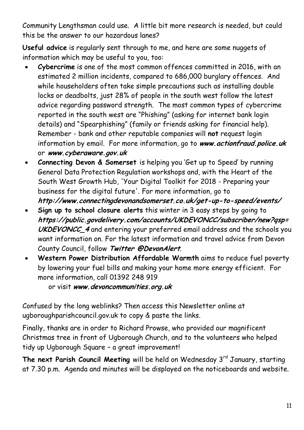Community Lengthsman could use. A little bit more research is needed, but could this be the answer to our hazardous lanes?

**Useful advice** is regularly sent through to me, and here are some nuggets of information which may be useful to you, too:

- **Cybercrime** is one of the most common offences committed in 2016, with an estimated 2 million incidents, compared to 686,000 burglary offences. And while householders often take simple precautions such as installing double locks or deadbolts, just 28% of people in the south west follow the latest advice regarding password strength. The most common types of cybercrime reported in the south west are "Phishing" (asking for internet bank login details) and "Spearphishing" (family or friends asking for financial help). Remember - bank and other reputable companies will **not** request login information by email. For more information, go to **www.actionfraud.police.uk** or **www.cyberaware.gov.uk**
- **Connecting Devon & Somerset** is helping you 'Get up to Speed' by running General Data Protection Regulation workshops and, with the Heart of the South West Growth Hub, 'Your Digital Toolkit for 2018 - Preparing your business for the digital future'. For more information, go to **http://www.connectingdevonandsomerset.co.uk/get-up-to-speed/events/**
- **Sign up to school closure alerts** this winter in 3 easy steps by going to **https://public.govdelivery.com/accounts/UKDEVONCC/subscriber/new?qsp= UKDEVONCC\_4** and entering your preferred email address and the schools you want information on. For the latest information and travel advice from Devon County Council, follow **Twitter @DevonAlert**.
- **Western Power Distribution Affordable Warmth** aims to reduce fuel poverty by lowering your fuel bills and making your home more energy efficient. For more information, call 01392 248 919

or visit **www.devoncommunities.org.uk**

Confused by the long weblinks? Then access this Newsletter online at ugboroughparishcouncil.gov.uk to copy & paste the links.

Finally, thanks are in order to Richard Prowse, who provided our magnificent Christmas tree in front of Ugborough Church, and to the volunteers who helped tidy up Ugborough Square – a great improvement!

The next Parish Council Meeting will be held on Wednesday 3<sup>rd</sup> January, starting at 7.30 p.m. Agenda and minutes will be displayed on the noticeboards and website.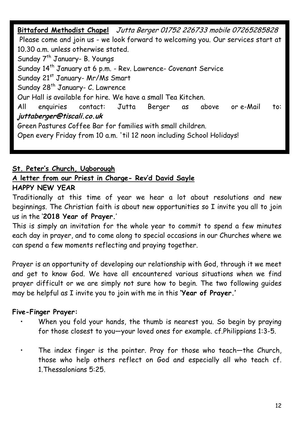**Bittaford Methodist Chapel** Jutta Berger 01752 226733 mobile 07265285828 Please come and join us - we look forward to welcoming you. Our services start at 10.30 a.m. unless otherwise stated. Sunday 7<sup>th</sup> January- B. Youngs Sunday 14<sup>th</sup> January at 6 p.m. - Rev. Lawrence- Covenant Service Sunday 21st January- Mr/Ms Smart Sunday 28<sup>th</sup> January- C. Lawrence Our Hall is available for hire. We have a small Tea Kitchen. All enquiries contact: Jutta Berger as above or e-Mail to: **juttaberger@tiscali.co.uk** Green Pastures Coffee Bar for families with small children. Open every Friday from 10 a.m. 'til 12 noon including School Holidays!

### **St. Peter's Church, Ugborough**

### **A letter from our Priest in Charge- Rev'd David Sayle**

#### **HAPPY NEW YEAR**

Traditionally at this time of year we hear a lot about resolutions and new beginnings. The Christian faith is about new opportunities so I invite you all to join us in the '**2018 Year of Prayer.**'

This is simply an invitation for the whole year to commit to spend a few minutes each day in prayer, and to come along to special occasions in our Churches where we can spend a few moments reflecting and praying together.

Prayer is an opportunity of developing our relationship with God, through it we meet and get to know God. We have all encountered various situations when we find prayer difficult or we are simply not sure how to begin. The two following guides may be helpful as I invite you to join with me in this **'Year of Prayer.'**

#### **Five-Finger Prayer:**

- When you fold your hands, the thumb is nearest you. So begin by praying for those closest to you—your loved ones for example. cf.Philippians 1:3-5.
- The index finger is the pointer. Pray for those who teach-the Church, those who help others reflect on God and especially all who teach cf. 1.Thessalonians 5:25.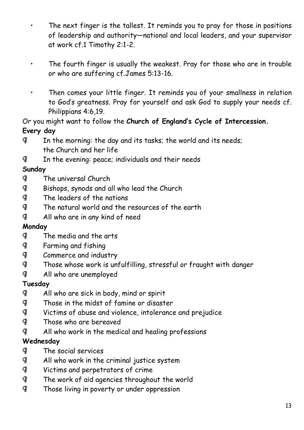- The next finger is the tallest. It reminds you to pray for those in positions of leadership and authority—national and local leaders, and your supervisor at work cf.1 Timothy 2:1-2.
- The fourth finger is usually the weakest. Pray for those who are in trouble or who are suffering cf.James 5:13-16.
- Then comes your little finger. It reminds you of your smallness in relation to God's greatness. Pray for yourself and ask God to supply your needs cf. Philippians 4:6,19.

# Or you might want to follow the **Church of England's Cycle of Intercession. Every day**

- ¶ In the morning: the day and its tasks; the world and its needs; the Church and her life
- ¶ In the evening: peace; individuals and their needs

# **Sunday**

- ¶ The universal Church
- ¶ Bishops, synods and all who lead the Church
- ¶ The leaders of the nations
- ¶ The natural world and the resources of the earth
- ¶ All who are in any kind of need

# **Monday**

- ¶ The media and the arts
- ¶ Farming and fishing
- ¶ Commerce and industry
- ¶ Those whose work is unfulfilling, stressful or fraught with danger
- ¶ All who are unemployed

# **Tuesday**

- ¶ All who are sick in body, mind or spirit
- ¶ Those in the midst of famine or disaster
- ¶ Victims of abuse and violence, intolerance and prejudice
- ¶ Those who are bereaved
- ¶ All who work in the medical and healing professions

# **Wednesday**

- ¶ The social services
- ¶ All who work in the criminal justice system
- ¶ Victims and perpetrators of crime
- ¶ The work of aid agencies throughout the world
- ¶ Those living in poverty or under oppression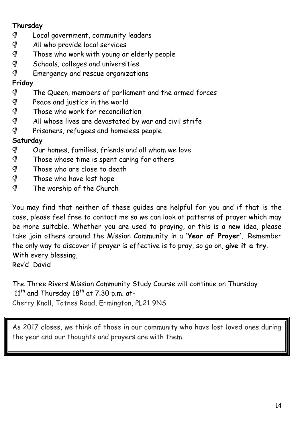# **Thursday**

- ¶ Local government, community leaders
- ¶ All who provide local services
- ¶ Those who work with young or elderly people
- ¶ Schools, colleges and universities
- ¶ Emergency and rescue organizations

# **Friday**

- ¶ The Queen, members of parliament and the armed forces
- ¶ Peace and justice in the world
- ¶ Those who work for reconciliation
- ¶ All whose lives are devastated by war and civil strife
- ¶ Prisoners, refugees and homeless people

# **Saturday**

- ¶ Our homes, families, friends and all whom we love
- ¶ Those whose time is spent caring for others
- ¶ Those who are close to death
- ¶ Those who have lost hope
- ¶ The worship of the Church

You may find that neither of these guides are helpful for you and if that is the case, please feel free to contact me so we can look at patterns of prayer which may be more suitable. Whether you are used to praying, or this is a new idea, please take join others around the Mission Community in a **'Year of Prayer'.** Remember the only way to discover if prayer is effective is to pray, so go on, **give it a try.** With every blessing, Rev'd David

The Three Rivers Mission Community Study Course will continue on Thursday  $11<sup>th</sup>$  and Thursday  $18<sup>th</sup>$  at 7.30 p.m. at-Cherry Knoll, Totnes Road, Ermington, PL21 9NS

As 2017 closes, we think of those in our community who have lost loved ones during the year and our thoughts and prayers are with them.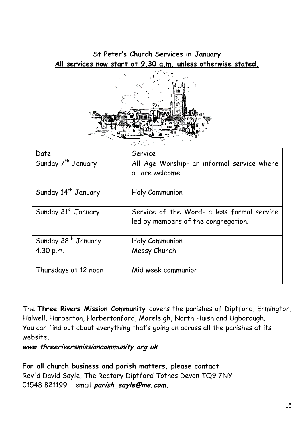**St Peter's Church Services in January All services now start at 9.30 a.m. unless otherwise stated.**



| Date                            | Service                                                        |  |
|---------------------------------|----------------------------------------------------------------|--|
| Sunday 7 <sup>th</sup> January  | All Age Worship- an informal service where<br>all are welcome. |  |
|                                 |                                                                |  |
| Sunday 14 <sup>th</sup> January | Holy Communion                                                 |  |
| Sunday 21st January             | Service of the Word- a less formal service                     |  |
|                                 | led by members of the congregation.                            |  |
| Sunday 28 <sup>th</sup> January | Holy Communion                                                 |  |
| 4.30 p.m.                       | Messy Church                                                   |  |
| Thursdays at 12 noon            | Mid week communion                                             |  |

The **Three Rivers Mission Community** covers the parishes of Diptford, Ermington, Halwell, Harberton, Harbertonford, Moreleigh, North Huish and Ugborough. You can find out about everything that's going on across all the parishes at its website,

**www.threeriversmissioncommunity.org.uk**

**For all church business and parish matters, please contact** Rev'd David Sayle, The Rectory Diptford Totnes Devon TQ9 7NY 01548 821199 email **[parish\\_sayle@me.com.](mailto:parish_sayle@me.com)**